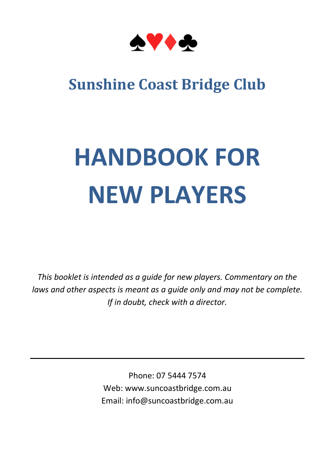

### **Sunshine Coast Bridge Club**

# **HANDBOOK FOR NEW PLAYERS**

*This booklet is intended as a guide for new players. Commentary on the laws and other aspects is meant as a guide only and may not be complete. If in doubt, check with a director.*

> Phone: 07 5444 7574 Web: www.suncoastbridge.com.au Email: info@suncoastbridge.com.au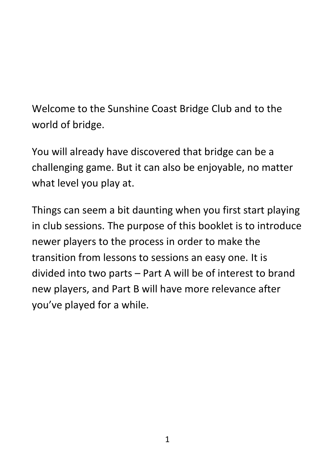Welcome to the Sunshine Coast Bridge Club and to the world of bridge.

You will already have discovered that bridge can be a challenging game. But it can also be enjoyable, no matter what level you play at.

Things can seem a bit daunting when you first start playing in club sessions. The purpose of this booklet is to introduce newer players to the process in order to make the transition from lessons to sessions an easy one. It is divided into two parts – Part A will be of interest to brand new players, and Part B will have more relevance after you've played for a while.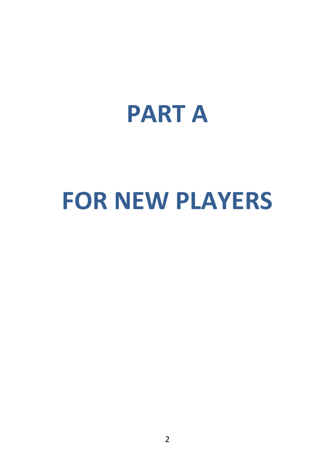## **PART A**

# **FOR NEW PLAYERS**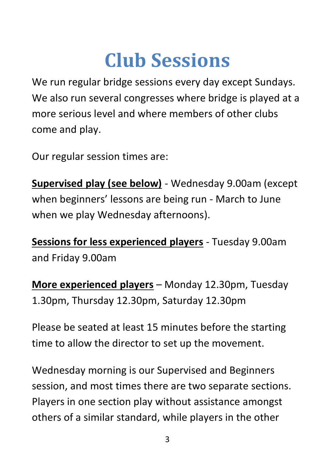## **Club Sessions**

We run regular bridge sessions every day except Sundays. We also run several congresses where bridge is played at a more serious level and where members of other clubs come and play.

Our regular session times are:

**Supervised play (see below)** - Wednesday 9.00am (except when beginners' lessons are being run - March to June when we play Wednesday afternoons).

**Sessions for less experienced players** - Tuesday 9.00am and Friday 9.00am

**More experienced players** – Monday 12.30pm, Tuesday 1.30pm, Thursday 12.30pm, Saturday 12.30pm

Please be seated at least 15 minutes before the starting time to allow the director to set up the movement.

Wednesday morning is our Supervised and Beginners session, and most times there are two separate sections. Players in one section play without assistance amongst others of a similar standard, while players in the other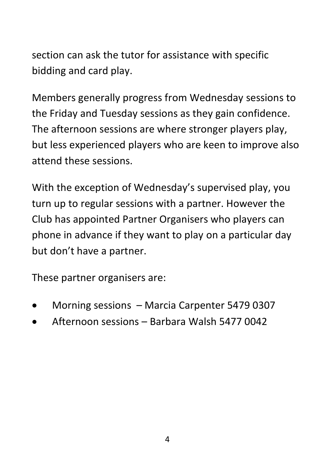section can ask the tutor for assistance with specific bidding and card play.

Members generally progress from Wednesday sessions to the Friday and Tuesday sessions as they gain confidence. The afternoon sessions are where stronger players play, but less experienced players who are keen to improve also attend these sessions.

With the exception of Wednesday's supervised play, you turn up to regular sessions with a partner. However the Club has appointed Partner Organisers who players can phone in advance if they want to play on a particular day but don't have a partner.

These partner organisers are:

- Morning sessions Marcia Carpenter 5479 0307
- Afternoon sessions Barbara Walsh 5477 0042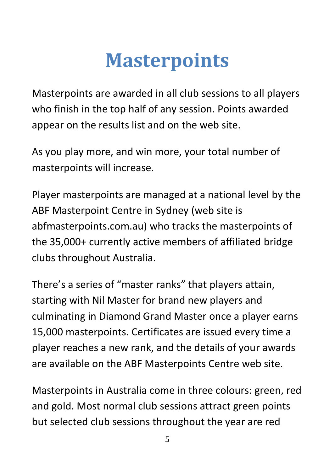## **Masterpoints**

Masterpoints are awarded in all club sessions to all players who finish in the top half of any session. Points awarded appear on the results list and on the web site.

As you play more, and win more, your total number of masterpoints will increase.

Player masterpoints are managed at a national level by the ABF Masterpoint Centre in Sydney (web site is abfmasterpoints.com.au) who tracks the masterpoints of the 35,000+ currently active members of affiliated bridge clubs throughout Australia.

There's a series of "master ranks" that players attain, starting with Nil Master for brand new players and culminating in Diamond Grand Master once a player earns 15,000 masterpoints. Certificates are issued every time a player reaches a new rank, and the details of your awards are available on the ABF Masterpoints Centre web site.

Masterpoints in Australia come in three colours: green, red and gold. Most normal club sessions attract green points but selected club sessions throughout the year are red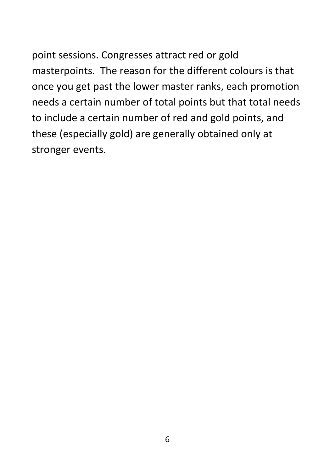point sessions. Congresses attract red or gold masterpoints. The reason for the different colours is that once you get past the lower master ranks, each promotion needs a certain number of total points but that total needs to include a certain number of red and gold points, and these (especially gold) are generally obtained only at stronger events.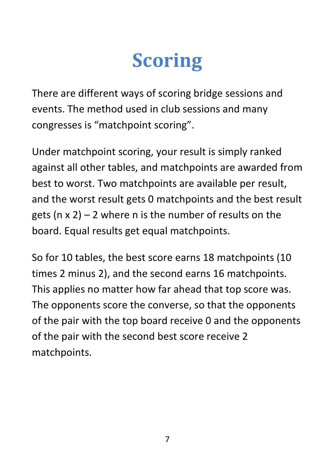## **Scoring**

There are different ways of scoring bridge sessions and events. The method used in club sessions and many congresses is "matchpoint scoring".

Under matchpoint scoring, your result is simply ranked against all other tables, and matchpoints are awarded from best to worst. Two matchpoints are available per result, and the worst result gets 0 matchpoints and the best result gets ( $n \times 2$ ) – 2 where n is the number of results on the board. Equal results get equal matchpoints.

So for 10 tables, the best score earns 18 matchpoints (10 times 2 minus 2), and the second earns 16 matchpoints. This applies no matter how far ahead that top score was. The opponents score the converse, so that the opponents of the pair with the top board receive 0 and the opponents of the pair with the second best score receive 2 matchpoints.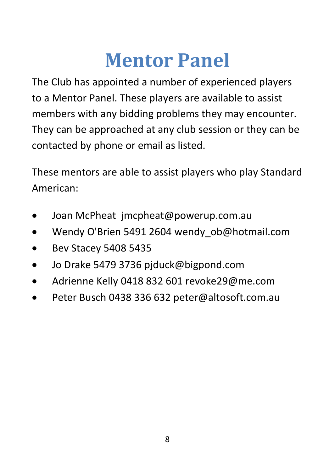## **Mentor Panel**

The Club has appointed a number of experienced players to a Mentor Panel. These players are available to assist members with any bidding problems they may encounter. They can be approached at any club session or they can be contacted by phone or email as listed.

These mentors are able to assist players who play Standard American:

- Joan McPheat jmcpheat@powerup.com.au
- Wendy O'Brien 5491 2604 wendy ob@hotmail.com
- Bev Stacey 5408 5435
- Jo Drake 5479 3736 pjduck@bigpond.com
- Adrienne Kelly 0418 832 601 revoke29@me.com
- Peter Busch 0438 336 632 peter@altosoft.com.au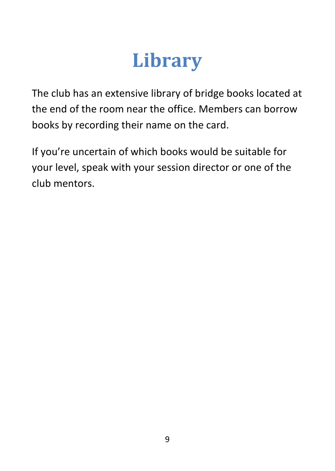## **Library**

The club has an extensive library of bridge books located at the end of the room near the office. Members can borrow books by recording their name on the card.

If you're uncertain of which books would be suitable for your level, speak with your session director or one of the club mentors.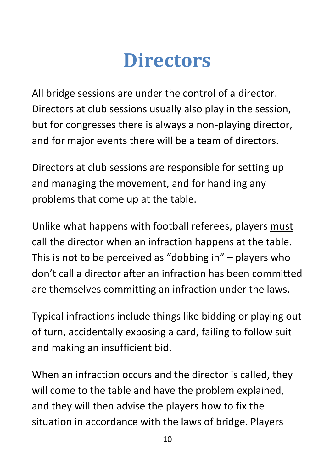### **Directors**

All bridge sessions are under the control of a director. Directors at club sessions usually also play in the session, but for congresses there is always a non-playing director, and for major events there will be a team of directors.

Directors at club sessions are responsible for setting up and managing the movement, and for handling any problems that come up at the table.

Unlike what happens with football referees, players must call the director when an infraction happens at the table. This is not to be perceived as "dobbing in" – players who don't call a director after an infraction has been committed are themselves committing an infraction under the laws.

Typical infractions include things like bidding or playing out of turn, accidentally exposing a card, failing to follow suit and making an insufficient bid.

When an infraction occurs and the director is called, they will come to the table and have the problem explained, and they will then advise the players how to fix the situation in accordance with the laws of bridge. Players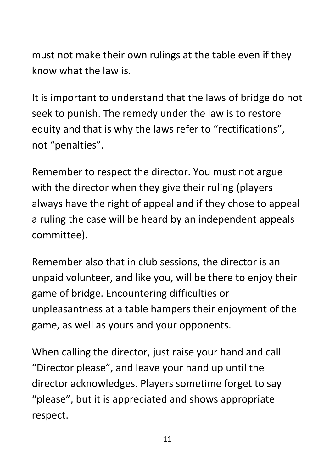must not make their own rulings at the table even if they know what the law is.

It is important to understand that the laws of bridge do not seek to punish. The remedy under the law is to restore equity and that is why the laws refer to "rectifications", not "penalties".

Remember to respect the director. You must not argue with the director when they give their ruling (players always have the right of appeal and if they chose to appeal a ruling the case will be heard by an independent appeals committee).

Remember also that in club sessions, the director is an unpaid volunteer, and like you, will be there to enjoy their game of bridge. Encountering difficulties or unpleasantness at a table hampers their enjoyment of the game, as well as yours and your opponents.

When calling the director, just raise your hand and call "Director please", and leave your hand up until the director acknowledges. Players sometime forget to say "please", but it is appreciated and shows appropriate respect.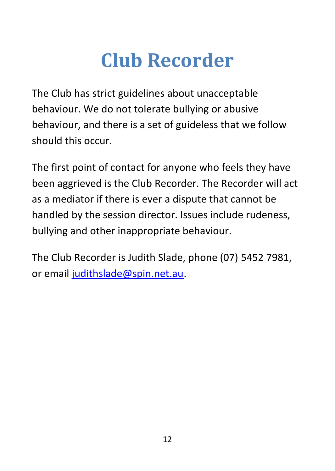## **Club Recorder**

The Club has strict guidelines about unacceptable behaviour. We do not tolerate bullying or abusive behaviour, and there is a set of guideless that we follow should this occur.

The first point of contact for anyone who feels they have been aggrieved is the Club Recorder. The Recorder will act as a mediator if there is ever a dispute that cannot be handled by the session director. Issues include rudeness, bullying and other inappropriate behaviour.

The Club Recorder is Judith Slade, phone (07) 5452 7981, or email [judithslade@spin.net.au.](mailto:judithslade@spin.net.au)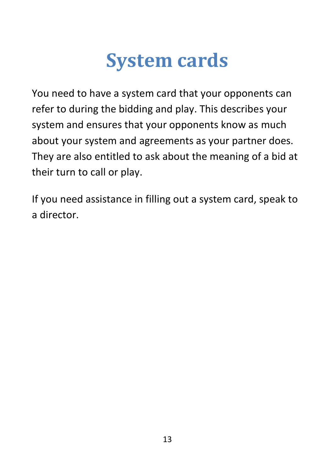## **System cards**

You need to have a system card that your opponents can refer to during the bidding and play. This describes your system and ensures that your opponents know as much about your system and agreements as your partner does. They are also entitled to ask about the meaning of a bid at their turn to call or play.

If you need assistance in filling out a system card, speak to a director.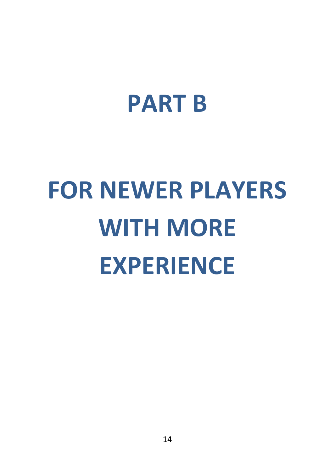# **PART B**

# **FOR NEWER PLAYERS WITH MORE EXPERIENCE**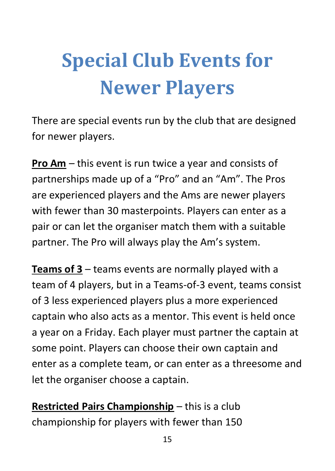## **Special Club Events for Newer Players**

There are special events run by the club that are designed for newer players.

**Pro Am** – this event is run twice a year and consists of partnerships made up of a "Pro" and an "Am". The Pros are experienced players and the Ams are newer players with fewer than 30 masterpoints. Players can enter as a pair or can let the organiser match them with a suitable partner. The Pro will always play the Am's system.

**Teams of 3** – teams events are normally played with a team of 4 players, but in a Teams-of-3 event, teams consist of 3 less experienced players plus a more experienced captain who also acts as a mentor. This event is held once a year on a Friday. Each player must partner the captain at some point. Players can choose their own captain and enter as a complete team, or can enter as a threesome and let the organiser choose a captain.

**Restricted Pairs Championship** – this is a club championship for players with fewer than 150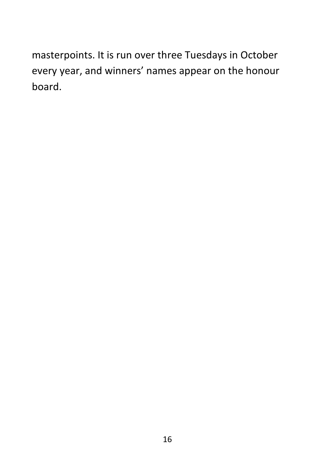masterpoints. It is run over three Tuesdays in October every year, and winners' names appear on the honour board.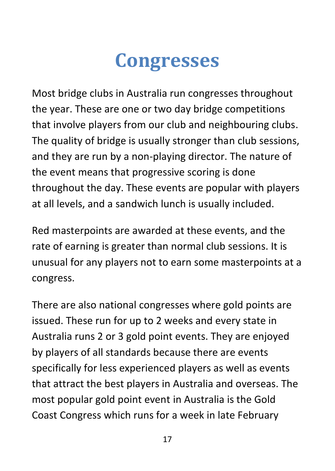## **Congresses**

Most bridge clubs in Australia run congresses throughout the year. These are one or two day bridge competitions that involve players from our club and neighbouring clubs. The quality of bridge is usually stronger than club sessions, and they are run by a non-playing director. The nature of the event means that progressive scoring is done throughout the day. These events are popular with players at all levels, and a sandwich lunch is usually included.

Red masterpoints are awarded at these events, and the rate of earning is greater than normal club sessions. It is unusual for any players not to earn some masterpoints at a congress.

There are also national congresses where gold points are issued. These run for up to 2 weeks and every state in Australia runs 2 or 3 gold point events. They are enjoyed by players of all standards because there are events specifically for less experienced players as well as events that attract the best players in Australia and overseas. The most popular gold point event in Australia is the Gold Coast Congress which runs for a week in late February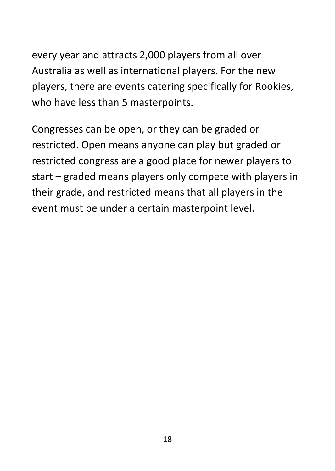every year and attracts 2,000 players from all over Australia as well as international players. For the new players, there are events catering specifically for Rookies, who have less than 5 masterpoints.

Congresses can be open, or they can be graded or restricted. Open means anyone can play but graded or restricted congress are a good place for newer players to start – graded means players only compete with players in their grade, and restricted means that all players in the event must be under a certain masterpoint level.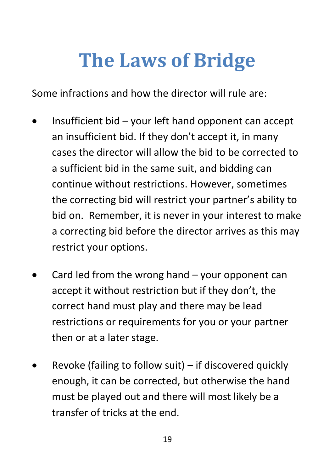## **The Laws of Bridge**

Some infractions and how the director will rule are:

- Insufficient bid your left hand opponent can accept an insufficient bid. If they don't accept it, in many cases the director will allow the bid to be corrected to a sufficient bid in the same suit, and bidding can continue without restrictions. However, sometimes the correcting bid will restrict your partner's ability to bid on. Remember, it is never in your interest to make a correcting bid before the director arrives as this may restrict your options.
- Card led from the wrong hand your opponent can accept it without restriction but if they don't, the correct hand must play and there may be lead restrictions or requirements for you or your partner then or at a later stage.
- Revoke (failing to follow suit) if discovered quickly enough, it can be corrected, but otherwise the hand must be played out and there will most likely be a transfer of tricks at the end.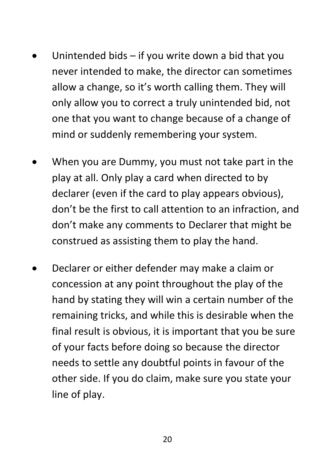- Unintended bids if you write down a bid that you never intended to make, the director can sometimes allow a change, so it's worth calling them. They will only allow you to correct a truly unintended bid, not one that you want to change because of a change of mind or suddenly remembering your system.
- When you are Dummy, you must not take part in the play at all. Only play a card when directed to by declarer (even if the card to play appears obvious), don't be the first to call attention to an infraction, and don't make any comments to Declarer that might be construed as assisting them to play the hand.
- Declarer or either defender may make a claim or concession at any point throughout the play of the hand by stating they will win a certain number of the remaining tricks, and while this is desirable when the final result is obvious, it is important that you be sure of your facts before doing so because the director needs to settle any doubtful points in favour of the other side. If you do claim, make sure you state your line of play.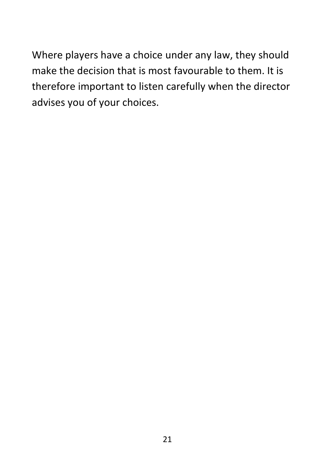Where players have a choice under any law, they should make the decision that is most favourable to them. It is therefore important to listen carefully when the director advises you of your choices.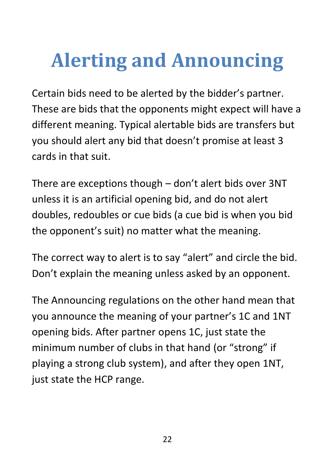## **Alerting and Announcing**

Certain bids need to be alerted by the bidder's partner. These are bids that the opponents might expect will have a different meaning. Typical alertable bids are transfers but you should alert any bid that doesn't promise at least 3 cards in that suit.

There are exceptions though – don't alert bids over 3NT unless it is an artificial opening bid, and do not alert doubles, redoubles or cue bids (a cue bid is when you bid the opponent's suit) no matter what the meaning.

The correct way to alert is to say "alert" and circle the bid. Don't explain the meaning unless asked by an opponent.

The Announcing regulations on the other hand mean that you announce the meaning of your partner's 1C and 1NT opening bids. After partner opens 1C, just state the minimum number of clubs in that hand (or "strong" if playing a strong club system), and after they open 1NT, just state the HCP range.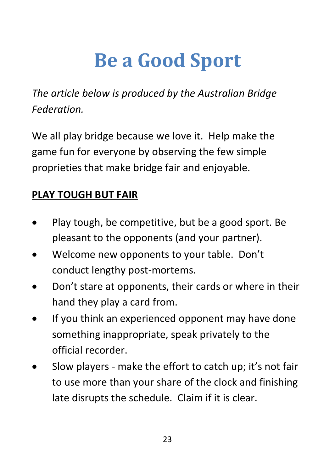## **Be a Good Sport**

*The article below is produced by the Australian Bridge Federation.*

We all play bridge because we love it. Help make the game fun for everyone by observing the few simple proprieties that make bridge fair and enjoyable.

#### **PLAY TOUGH BUT FAIR**

- Play tough, be competitive, but be a good sport. Be pleasant to the opponents (and your partner).
- Welcome new opponents to your table. Don't conduct lengthy post-mortems.
- Don't stare at opponents, their cards or where in their hand they play a card from.
- If you think an experienced opponent may have done something inappropriate, speak privately to the official recorder.
- Slow players make the effort to catch up; it's not fair to use more than your share of the clock and finishing late disrupts the schedule. Claim if it is clear.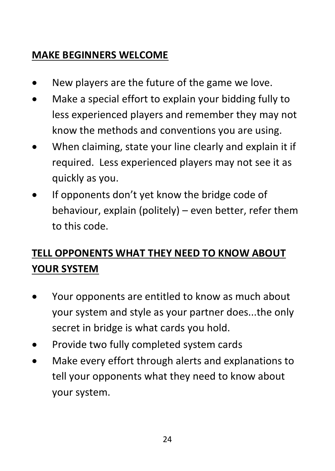### **MAKE BEGINNERS WELCOME**

- New players are the future of the game we love.
- Make a special effort to explain your bidding fully to less experienced players and remember they may not know the methods and conventions you are using.
- When claiming, state your line clearly and explain it if required. Less experienced players may not see it as quickly as you.
- If opponents don't yet know the bridge code of behaviour, explain (politely) – even better, refer them to this code.

### **TELL OPPONENTS WHAT THEY NEED TO KNOW ABOUT YOUR SYSTEM**

- Your opponents are entitled to know as much about your system and style as your partner does...the only secret in bridge is what cards you hold.
- Provide two fully completed system cards
- Make every effort through alerts and explanations to tell your opponents what they need to know about your system.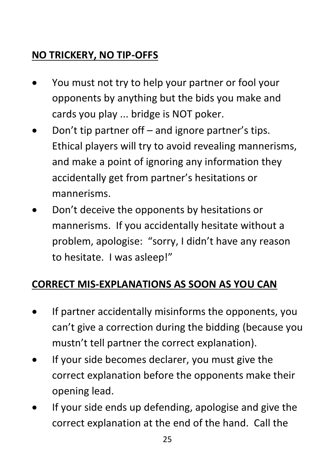### **NO TRICKERY, NO TIP-OFFS**

- You must not try to help your partner or fool your opponents by anything but the bids you make and cards you play ... bridge is NOT poker.
- Don't tip partner off and ignore partner's tips. Ethical players will try to avoid revealing mannerisms, and make a point of ignoring any information they accidentally get from partner's hesitations or mannerisms.
- Don't deceive the opponents by hesitations or mannerisms. If you accidentally hesitate without a problem, apologise: "sorry, I didn't have any reason to hesitate. I was asleep!"

### **CORRECT MIS-EXPLANATIONS AS SOON AS YOU CAN**

- If partner accidentally misinforms the opponents, you can't give a correction during the bidding (because you mustn't tell partner the correct explanation).
- If your side becomes declarer, you must give the correct explanation before the opponents make their opening lead.
- If your side ends up defending, apologise and give the correct explanation at the end of the hand. Call the